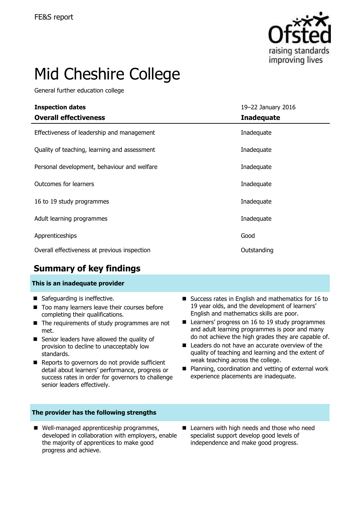

# Mid Cheshire College

General further education college

| <b>Inspection dates</b>                      | 19-22 January 2016 |  |  |
|----------------------------------------------|--------------------|--|--|
| <b>Overall effectiveness</b>                 | <b>Inadequate</b>  |  |  |
| Effectiveness of leadership and management   | Inadequate         |  |  |
| Quality of teaching, learning and assessment | Inadequate         |  |  |
| Personal development, behaviour and welfare  | Inadequate         |  |  |
| Outcomes for learners                        | Inadequate         |  |  |
| 16 to 19 study programmes                    | Inadequate         |  |  |
| Adult learning programmes                    | Inadequate         |  |  |
| Apprenticeships                              | Good               |  |  |
| Overall effectiveness at previous inspection | Outstanding        |  |  |

## **Summary of key findings**

### **This is an inadequate provider**

- Safeguarding is ineffective.
- Too many learners leave their courses before completing their qualifications.
- The requirements of study programmes are not met.
- Senior leaders have allowed the quality of provision to decline to unacceptably low standards.
- Reports to governors do not provide sufficient detail about learners' performance, progress or success rates in order for governors to challenge senior leaders effectively.

### **The provider has the following strengths**

■ Well-managed apprenticeship programmes, developed in collaboration with employers, enable the majority of apprentices to make good progress and achieve.

English and mathematics skills are poor. ■ Learners' progress on 16 to 19 study programmes and adult learning programmes is poor and many

■ Success rates in English and mathematics for 16 to 19 year olds, and the development of learners'

- do not achieve the high grades they are capable of. ■ Leaders do not have an accurate overview of the quality of teaching and learning and the extent of weak teaching across the college.
- Planning, coordination and vetting of external work experience placements are inadequate.
- Learners with high needs and those who need specialist support develop good levels of independence and make good progress.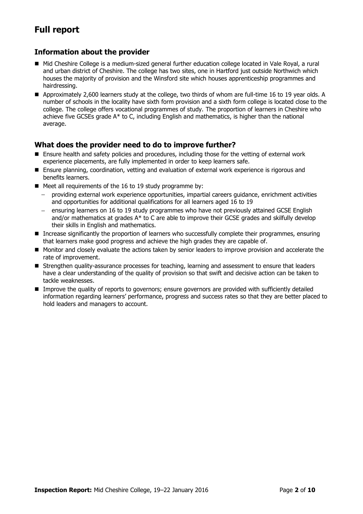# **Full report**

### **Information about the provider**

- Mid Cheshire College is a medium-sized general further education college located in Vale Royal, a rural and urban district of Cheshire. The college has two sites, one in Hartford just outside Northwich which houses the majority of provision and the Winsford site which houses apprenticeship programmes and hairdressing.
- Approximately 2,600 learners study at the college, two thirds of whom are full-time 16 to 19 year olds. A number of schools in the locality have sixth form provision and a sixth form college is located close to the college. The college offers vocational programmes of study. The proportion of learners in Cheshire who achieve five GCSEs grade A\* to C, including English and mathematics, is higher than the national average.

### **What does the provider need to do to improve further?**

- Ensure health and safety policies and procedures, including those for the vetting of external work experience placements, are fully implemented in order to keep learners safe.
- Ensure planning, coordination, vetting and evaluation of external work experience is rigorous and benefits learners.
- Meet all requirements of the 16 to 19 study programme by:
	- providing external work experience opportunities, impartial careers guidance, enrichment activities and opportunities for additional qualifications for all learners aged 16 to 19
	- ensuring learners on 16 to 19 study programmes who have not previously attained GCSE English  $\equiv$ and/or mathematics at grades A\* to C are able to improve their GCSE grades and skilfully develop their skills in English and mathematics.
- **Increase significantly the proportion of learners who successfully complete their programmes, ensuring** that learners make good progress and achieve the high grades they are capable of.
- **Monitor and closely evaluate the actions taken by senior leaders to improve provision and accelerate the** rate of improvement.
- **Strengthen quality-assurance processes for teaching, learning and assessment to ensure that leaders** have a clear understanding of the quality of provision so that swift and decisive action can be taken to tackle weaknesses.
- **Improve the quality of reports to governors; ensure governors are provided with sufficiently detailed** information regarding learners' performance, progress and success rates so that they are better placed to hold leaders and managers to account.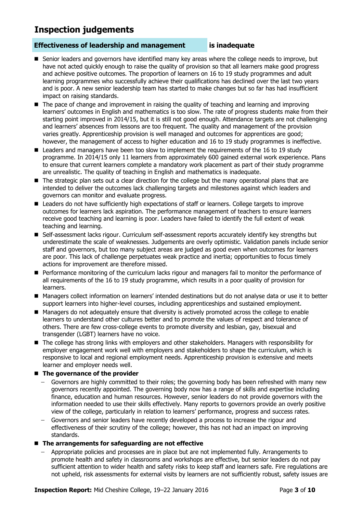# **Inspection judgements**

### **Effectiveness of leadership and management is inadequate**

- **Senior leaders and governors have identified many key areas where the college needs to improve, but** have not acted quickly enough to raise the quality of provision so that all learners make good progress and achieve positive outcomes. The proportion of learners on 16 to 19 study programmes and adult learning programmes who successfully achieve their qualifications has declined over the last two years and is poor. A new senior leadership team has started to make changes but so far has had insufficient impact on raising standards.
- $\blacksquare$  The pace of change and improvement in raising the quality of teaching and learning and improving learners' outcomes in English and mathematics is too slow. The rate of progress students make from their starting point improved in 2014/15, but it is still not good enough. Attendance targets are not challenging and learners' absences from lessons are too frequent. The quality and management of the provision varies greatly. Apprenticeship provision is well managed and outcomes for apprentices are good; however, the management of access to higher education and 16 to 19 study programmes is ineffective.
- Leaders and managers have been too slow to implement the requirements of the 16 to 19 study programme. In 2014/15 only 11 learners from approximately 600 gained external work experience. Plans to ensure that current learners complete a mandatory work placement as part of their study programme are unrealistic. The quality of teaching in English and mathematics is inadequate.
- The strategic plan sets out a clear direction for the college but the many operational plans that are intended to deliver the outcomes lack challenging targets and milestones against which leaders and governors can monitor and evaluate progress.
- Leaders do not have sufficiently high expectations of staff or learners. College targets to improve outcomes for learners lack aspiration. The performance management of teachers to ensure learners receive good teaching and learning is poor. Leaders have failed to identify the full extent of weak teaching and learning.
- Self-assessment lacks rigour. Curriculum self-assessment reports accurately identify key strengths but underestimate the scale of weaknesses. Judgements are overly optimistic. Validation panels include senior staff and governors, but too many subject areas are judged as good even when outcomes for learners are poor. This lack of challenge perpetuates weak practice and inertia; opportunities to focus timely actions for improvement are therefore missed.
- **Performance monitoring of the curriculum lacks rigour and managers fail to monitor the performance of** all requirements of the 16 to 19 study programme, which results in a poor quality of provision for learners.
- Managers collect information on learners' intended destinations but do not analyse data or use it to better support learners into higher-level courses, including apprenticeships and sustained employment.
- Managers do not adequately ensure that diversity is actively promoted across the college to enable learners to understand other cultures better and to promote the values of respect and tolerance of others. There are few cross-college events to promote diversity and lesbian, gay, bisexual and transgender (LGBT) learners have no voice.
- The college has strong links with employers and other stakeholders. Managers with responsibility for employer engagement work well with employers and stakeholders to shape the curriculum, which is responsive to local and regional employment needs. Apprenticeship provision is extensive and meets learner and employer needs well.

### $\blacksquare$  The governance of the provider

- Governors are highly committed to their roles; the governing body has been refreshed with many new governors recently appointed. The governing body now has a range of skills and expertise including finance, education and human resources. However, senior leaders do not provide governors with the information needed to use their skills effectively. Many reports to governors provide an overly positive view of the college, particularly in relation to learners' performance, progress and success rates.
- Governors and senior leaders have recently developed a process to increase the rigour and effectiveness of their scrutiny of the college; however, this has not had an impact on improving standards.
- **The arrangements for safeguarding are not effective**
	- Appropriate policies and processes are in place but are not implemented fully. Arrangements to promote health and safety in classrooms and workshops are effective, but senior leaders do not pay sufficient attention to wider health and safety risks to keep staff and learners safe. Fire regulations are not upheld, risk assessments for external visits by learners are not sufficiently robust, safety issues are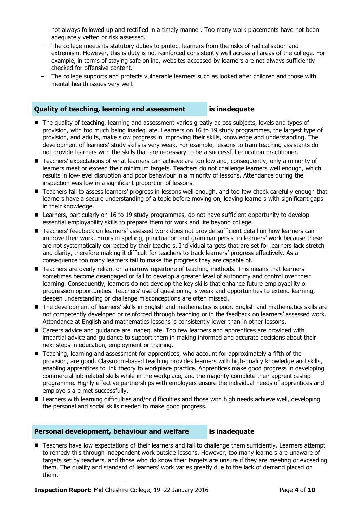not always followed up and rectified in a timely manner. Too many work placements have not been adequately vetted or risk assessed.

- The college meets its statutory duties to protect learners from the risks of radicalisation and extremism. However, this is duty is not reinforced consistently well across all areas of the college. For example, in terms of staying safe online, websites accessed by learners are not always sufficiently checked for offensive content.
- The college supports and protects vulnerable learners such as looked after children and those with mental health issues very well.

### **Quality of teaching, learning and assessment is inadequate**

- **The quality of teaching, learning and assessment varies greatly across subjects, levels and types of** provision, with too much being inadequate. Learners on 16 to 19 study programmes, the largest type of provision, and adults, make slow progress in improving their skills, knowledge and understanding. The development of learners' study skills is very weak. For example, lessons to train teaching assistants do not provide learners with the skills that are necessary to be a successful education practitioner.
- Teachers' expectations of what learners can achieve are too low and, consequently, only a minority of learners meet or exceed their minimum targets. Teachers do not challenge learners well enough, which results in low-level disruption and poor behaviour in a minority of lessons. Attendance during the inspection was low in a significant proportion of lessons.
- Teachers fail to assess learners' progress in lessons well enough, and too few check carefully enough that learners have a secure understanding of a topic before moving on, leaving learners with significant gaps in their knowledge.
- Learners, particularly on 16 to 19 study programmes, do not have sufficient opportunity to develop essential employability skills to prepare them for work and life beyond college.
- Teachers' feedback on learners' assessed work does not provide sufficient detail on how learners can improve their work. Errors in spelling, punctuation and grammar persist in learners' work because these are not systematically corrected by their teachers. Individual targets that are set for learners lack stretch and clarity, therefore making it difficult for teachers to track learners' progress effectively. As a consequence too many learners fail to make the progress they are capable of.
- Teachers are overly reliant on a narrow repertoire of teaching methods. This means that learners sometimes become disengaged or fail to develop a greater level of autonomy and control over their learning. Consequently, learners do not develop the key skills that enhance future employability or progression opportunities. Teachers' use of questioning is weak and opportunities to extend learning, deepen understanding or challenge misconceptions are often missed.
- The development of learners' skills in English and mathematics is poor. English and mathematics skills are not competently developed or reinforced through teaching or in the feedback on learners' assessed work. Attendance at English and mathematics lessons is consistently lower than in other lessons.
- Careers advice and quidance are inadequate. Too few learners and apprentices are provided with impartial advice and guidance to support them in making informed and accurate decisions about their next steps in education, employment or training.
- Teaching, learning and assessment for apprentices, who account for approximately a fifth of the provision, are good. Classroom-based teaching provides learners with high-quality knowledge and skills, enabling apprentices to link theory to workplace practice. Apprentices make good progress in developing commercial job-related skills while in the workplace, and the majority complete their apprenticeship programme. Highly effective partnerships with employers ensure the individual needs of apprentices and employers are met successfully.
- Learners with learning difficulties and/or difficulties and those with high needs achieve well, developing the personal and social skills needed to make good progress.

### **Personal development, behaviour and welfare is inadequate**

■ Teachers have low expectations of their learners and fail to challenge them sufficiently. Learners attempt to remedy this through independent work outside lessons. However, too many learners are unaware of targets set by teachers, and those who do know their targets are unsure if they are meeting or exceeding them. The quality and standard of learners' work varies greatly due to the lack of demand placed on them.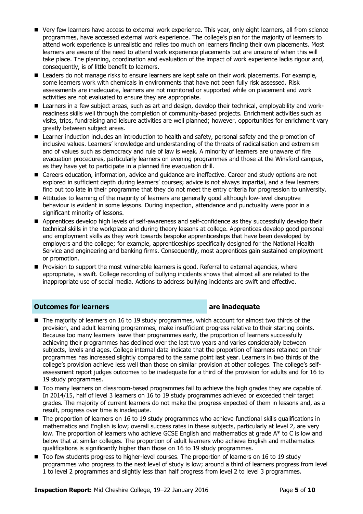- Very few learners have access to external work experience. This year, only eight learners, all from science programmes, have accessed external work experience. The college's plan for the majority of learners to attend work experience is unrealistic and relies too much on learners finding their own placements. Most learners are aware of the need to attend work experience placements but are unsure of when this will take place. The planning, coordination and evaluation of the impact of work experience lacks rigour and, consequently, is of little benefit to learners.
- Leaders do not manage risks to ensure learners are kept safe on their work placements. For example, some learners work with chemicals in environments that have not been fully risk assessed. Risk assessments are inadequate, learners are not monitored or supported while on placement and work activities are not evaluated to ensure they are appropriate.
- Learners in a few subject areas, such as art and design, develop their technical, employability and workreadiness skills well through the completion of community-based projects. Enrichment activities such as visits, trips, fundraising and leisure activities are well planned; however, opportunities for enrichment vary greatly between subject areas.
- **E** Learner induction includes an introduction to health and safety, personal safety and the promotion of inclusive values. Learners' knowledge and understanding of the threats of radicalisation and extremism and of values such as democracy and rule of law is weak. A minority of learners are unaware of fire evacuation procedures, particularly learners on evening programmes and those at the Winsford campus, as they have yet to participate in a planned fire evacuation drill.
- Careers education, information, advice and guidance are ineffective. Career and study options are not explored in sufficient depth during learners' courses; advice is not always impartial, and a few learners find out too late in their programme that they do not meet the entry criteria for progression to university.
- Attitudes to learning of the majority of learners are generally good although low-level disruptive behaviour is evident in some lessons. During inspection, attendance and punctuality were poor in a significant minority of lessons.
- **Apprentices develop high levels of self-awareness and self-confidence as they successfully develop their** technical skills in the workplace and during theory lessons at college. Apprentices develop good personal and employment skills as they work towards bespoke apprenticeships that have been developed by employers and the college; for example, apprenticeships specifically designed for the National Health Service and engineering and banking firms. Consequently, most apprentices gain sustained employment or promotion.
- **Provision to support the most vulnerable learners is good. Referral to external agencies, where** appropriate, is swift. College recording of bullying incidents shows that almost all are related to the inappropriate use of social media. Actions to address bullying incidents are swift and effective.

### **Outcomes for learners are inadequate**

- The majority of learners on 16 to 19 study programmes, which account for almost two thirds of the provision, and adult learning programmes, make insufficient progress relative to their starting points. Because too many learners leave their programmes early, the proportion of learners successfully achieving their programmes has declined over the last two years and varies considerably between subjects, levels and ages. College internal data indicate that the proportion of learners retained on their programmes has increased slightly compared to the same point last year. Learners in two thirds of the college's provision achieve less well than those on similar provision at other colleges. The college's selfassessment report judges outcomes to be inadequate for a third of the provision for adults and for 16 to 19 study programmes.
- $\blacksquare$  Too many learners on classroom-based programmes fail to achieve the high grades they are capable of. In 2014/15, half of level 3 learners on 16 to 19 study programmes achieved or exceeded their target grades. The majority of current learners do not make the progress expected of them in lessons and, as a result, progress over time is inadequate.
- The proportion of learners on 16 to 19 study programmes who achieve functional skills qualifications in mathematics and English is low; overall success rates in these subjects, particularly at level 2, are very low. The proportion of learners who achieve GCSE English and mathematics at grade A\* to C is low and below that at similar colleges. The proportion of adult learners who achieve English and mathematics qualifications is significantly higher than those on 16 to 19 study programmes.
- Too few students progress to higher-level courses. The proportion of learners on 16 to 19 study programmes who progress to the next level of study is low; around a third of learners progress from level 1 to level 2 programmes and slightly less than half progress from level 2 to level 3 programmes.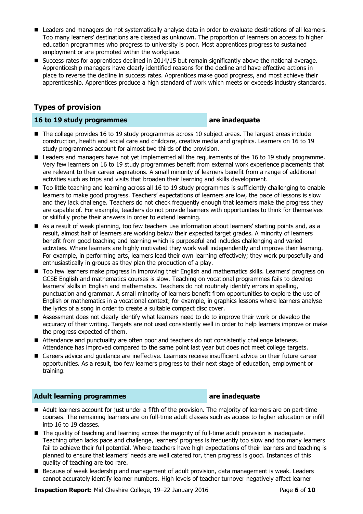- Leaders and managers do not systematically analyse data in order to evaluate destinations of all learners. Too many learners' destinations are classed as unknown. The proportion of learners on access to higher education programmes who progress to university is poor. Most apprentices progress to sustained employment or are promoted within the workplace.
- Success rates for apprentices declined in 2014/15 but remain significantly above the national average. Apprenticeship managers have clearly identified reasons for the decline and have effective actions in place to reverse the decline in success rates. Apprentices make good progress, and most achieve their apprenticeship. Apprentices produce a high standard of work which meets or exceeds industry standards.

### **Types of provision**

### **16 to 19 study programmes are inadequate**

- The college provides 16 to 19 study programmes across 10 subject areas. The largest areas include construction, health and social care and childcare, creative media and graphics. Learners on 16 to 19 study programmes account for almost two thirds of the provision.
- Leaders and managers have not yet implemented all the requirements of the 16 to 19 study programme. Very few learners on 16 to 19 study programmes benefit from external work experience placements that are relevant to their career aspirations. A small minority of learners benefit from a range of additional activities such as trips and visits that broaden their learning and skills development.
- Too little teaching and learning across all 16 to 19 study programmes is sufficiently challenging to enable learners to make good progress. Teachers' expectations of learners are low, the pace of lessons is slow and they lack challenge. Teachers do not check frequently enough that learners make the progress they are capable of. For example, teachers do not provide learners with opportunities to think for themselves or skilfully probe their answers in order to extend learning.
- As a result of weak planning, too few teachers use information about learners' starting points and, as a result, almost half of learners are working below their expected target grades. A minority of learners benefit from good teaching and learning which is purposeful and includes challenging and varied activities. Where learners are highly motivated they work well independently and improve their learning. For example, in performing arts, learners lead their own learning effectively; they work purposefully and enthusiastically in groups as they plan the production of a play.
- Too few learners make progress in improving their English and mathematics skills. Learners' progress on GCSE English and mathematics courses is slow. Teaching on vocational programmes fails to develop learners' skills in English and mathematics. Teachers do not routinely identify errors in spelling, punctuation and grammar. A small minority of learners benefit from opportunities to explore the use of English or mathematics in a vocational context; for example, in graphics lessons where learners analyse the lyrics of a song in order to create a suitable compact disc cover.
- Assessment does not clearly identify what learners need to do to improve their work or develop the accuracy of their writing. Targets are not used consistently well in order to help learners improve or make the progress expected of them.
- Attendance and punctuality are often poor and teachers do not consistently challenge lateness. Attendance has improved compared to the same point last year but does not meet college targets.
- Careers advice and quidance are ineffective. Learners receive insufficient advice on their future career opportunities. As a result, too few learners progress to their next stage of education, employment or training.

### **Adult learning programmes are inadequate**

- Adult learners account for just under a fifth of the provision. The majority of learners are on part-time courses. The remaining learners are on full-time adult classes such as access to higher education or infill into 16 to 19 classes.
- The quality of teaching and learning across the majority of full-time adult provision is inadequate. Teaching often lacks pace and challenge, learners' progress is frequently too slow and too many learners fail to achieve their full potential. Where teachers have high expectations of their learners and teaching is planned to ensure that learners' needs are well catered for, then progress is good. Instances of this quality of teaching are too rare.
- Because of weak leadership and management of adult provision, data management is weak. Leaders cannot accurately identify learner numbers. High levels of teacher turnover negatively affect learner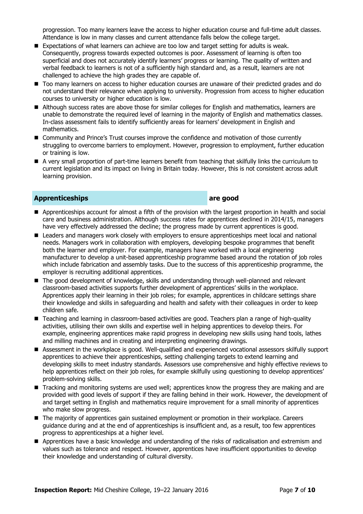progression. Too many learners leave the access to higher education course and full-time adult classes. Attendance is low in many classes and current attendance falls below the college target.

- **Expectations of what learners can achieve are too low and target setting for adults is weak.** Consequently, progress towards expected outcomes is poor. Assessment of learning is often too superficial and does not accurately identify learners' progress or learning. The quality of written and verbal feedback to learners is not of a sufficiently high standard and, as a result, learners are not challenged to achieve the high grades they are capable of.
- Too many learners on access to higher education courses are unaware of their predicted grades and do not understand their relevance when applying to university. Progression from access to higher education courses to university or higher education is low.
- Although success rates are above those for similar colleges for English and mathematics, learners are unable to demonstrate the required level of learning in the majority of English and mathematics classes. In-class assessment fails to identify sufficiently areas for learners' development in English and mathematics.
- Community and Prince's Trust courses improve the confidence and motivation of those currently struggling to overcome barriers to employment. However, progression to employment, further education or training is low.
- A very small proportion of part-time learners benefit from teaching that skilfully links the curriculum to current legislation and its impact on living in Britain today. However, this is not consistent across adult learning provision.

### **Apprenticeships are good**

- Apprenticeships account for almost a fifth of the provision with the largest proportion in health and social care and business administration. Although success rates for apprentices declined in 2014/15, managers have very effectively addressed the decline; the progress made by current apprentices is good.
- Leaders and managers work closely with employers to ensure apprenticeships meet local and national needs. Managers work in collaboration with employers, developing bespoke programmes that benefit both the learner and employer. For example, managers have worked with a local engineering manufacturer to develop a unit-based apprenticeship programme based around the rotation of job roles which include fabrication and assembly tasks. Due to the success of this apprenticeship programme, the employer is recruiting additional apprentices.
- The good development of knowledge, skills and understanding through well-planned and relevant classroom-based activities supports further development of apprentices' skills in the workplace. Apprentices apply their learning in their job roles; for example, apprentices in childcare settings share their knowledge and skills in safeguarding and health and safety with their colleagues in order to keep children safe.
- Teaching and learning in classroom-based activities are good. Teachers plan a range of high-quality activities, utilising their own skills and expertise well in helping apprentices to develop theirs. For example, engineering apprentices make rapid progress in developing new skills using hand tools, lathes and milling machines and in creating and interpreting engineering drawings.
- Assessment in the workplace is good. Well-qualified and experienced vocational assessors skilfully support apprentices to achieve their apprenticeships, setting challenging targets to extend learning and developing skills to meet industry standards. Assessors use comprehensive and highly effective reviews to help apprentices reflect on their job roles, for example skilfully using questioning to develop apprentices' problem-solving skills.
- Tracking and monitoring systems are used well; apprentices know the progress they are making and are provided with good levels of support if they are falling behind in their work. However, the development of and target setting in English and mathematics require improvement for a small minority of apprentices who make slow progress.
- The majority of apprentices gain sustained employment or promotion in their workplace. Careers guidance during and at the end of apprenticeships is insufficient and, as a result, too few apprentices progress to apprenticeships at a higher level.
- Apprentices have a basic knowledge and understanding of the risks of radicalisation and extremism and values such as tolerance and respect. However, apprentices have insufficient opportunities to develop their knowledge and understanding of cultural diversity.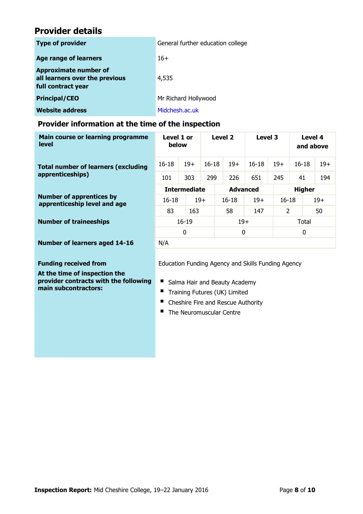# **Provider details**

| <b>Type of provider</b> |                                                                                      | General further education college |  |  |  |  |
|-------------------------|--------------------------------------------------------------------------------------|-----------------------------------|--|--|--|--|
|                         | <b>Age range of learners</b>                                                         | $16+$                             |  |  |  |  |
|                         | <b>Approximate number of</b><br>all learners over the previous<br>full contract year | 4,535                             |  |  |  |  |
|                         | <b>Principal/CEO</b>                                                                 | Mr Richard Hollywood              |  |  |  |  |
|                         | <b>Website address</b>                                                               | Midchesh.ac.uk                    |  |  |  |  |

### **Provider information at the time of the inspection**

| Main course or learning programme<br><b>level</b>               | Level 1 or<br>below                                |       | Level 2   |                 | Level 3   |          | Level 4<br>and above |       |  |
|-----------------------------------------------------------------|----------------------------------------------------|-------|-----------|-----------------|-----------|----------|----------------------|-------|--|
| <b>Total number of learners (excluding</b>                      | $16 - 18$                                          | $19+$ | $16 - 18$ | $19+$           | $16 - 18$ | $19+$    | $16 - 18$            | $19+$ |  |
| apprenticeships)                                                | 101                                                | 303   | 299       | 226             | 651       | 245      | 41                   | 194   |  |
|                                                                 | <b>Intermediate</b>                                |       |           | <b>Advanced</b> |           |          | <b>Higher</b>        |       |  |
| <b>Number of apprentices by</b><br>apprenticeship level and age | 16-18                                              | $19+$ |           | 16-18           | $19+$     |          | $19+$<br>$16-18$     |       |  |
|                                                                 | 83                                                 | 163   |           | 58              | 147       | 2        |                      | 50    |  |
| <b>Number of traineeships</b>                                   | $16 - 19$                                          |       |           |                 | $19+$     |          | Total                |       |  |
|                                                                 | 0                                                  |       |           | 0               |           | $\Omega$ |                      |       |  |
| <b>Number of learners aged 14-16</b>                            | N/A                                                |       |           |                 |           |          |                      |       |  |
|                                                                 |                                                    |       |           |                 |           |          |                      |       |  |
| <b>Funding received from</b>                                    | Education Funding Agency and Skills Funding Agency |       |           |                 |           |          |                      |       |  |
|                                                                 |                                                    |       |           |                 |           |          |                      |       |  |

**At the time of inspection the provider contracts with the following main subcontractors:**

Salma Hair and Beauty Academy

- Training Futures (UK) Limited
- Cheshire Fire and Rescue Authority
- The Neuromuscular Centre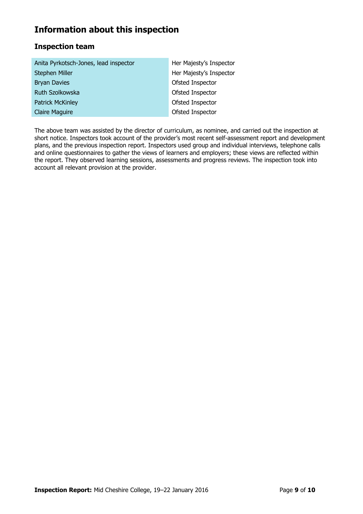# **Information about this inspection**

### **Inspection team**

| Anita Pyrkotsch-Jones, lead inspector | Her Majesty's Inspector |  |  |  |
|---------------------------------------|-------------------------|--|--|--|
| Stephen Miller                        | Her Majesty's Inspector |  |  |  |
| <b>Bryan Davies</b>                   | Ofsted Inspector        |  |  |  |
| Ruth Szolkowska                       | Ofsted Inspector        |  |  |  |
| <b>Patrick McKinley</b>               | Ofsted Inspector        |  |  |  |
| <b>Claire Maguire</b>                 | Ofsted Inspector        |  |  |  |

The above team was assisted by the director of curriculum, as nominee, and carried out the inspection at short notice. Inspectors took account of the provider's most recent self-assessment report and development plans, and the previous inspection report. Inspectors used group and individual interviews, telephone calls and online questionnaires to gather the views of learners and employers; these views are reflected within the report. They observed learning sessions, assessments and progress reviews. The inspection took into account all relevant provision at the provider.